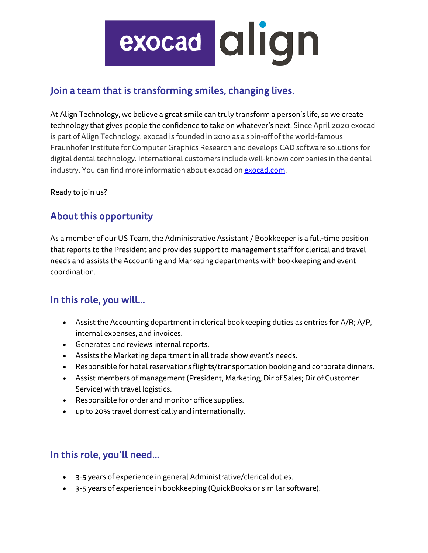# exocad dlign

## Join a team that is transforming smiles, changing lives.

At [Align Technology,](https://nam01.safelinks.protection.outlook.com/?url=http%3A%2F%2Fwww.aligntech.com%2F&data=02%7C01%7Caconstantinides%40aligntech.com%7C0265e05740004ea1659008d82d768321%7C9ac44c96980a481bae23d8f56b82c605%7C0%7C0%7C637309334311153821&sdata=9Xr42Q4lIEYxZ%2B%2BAoTmp1yZbGVlHD0O7TDxZ7Zzkytk%3D&reserved=0) we believe a great smile can truly transform a person's life, so we create technology that gives people the confidence to take on whatever's next. Since April 2020 exocad is part of Align Technology. exocad is founded in 2010 as a spin-off of the world-famous Fraunhofer Institute for Computer Graphics Research and develops CAD software solutions for digital dental technology. International customers include well-known companies in the dental industry. You can find more information about exocad o[n exocad.com.](https://nam01.safelinks.protection.outlook.com/?url=http%3A%2F%2Fexocad.com%2F&data=02%7C01%7Caconstantinides%40aligntech.com%7C0265e05740004ea1659008d82d768321%7C9ac44c96980a481bae23d8f56b82c605%7C0%7C0%7C637309334311163810&sdata=FfuPjYBQ9%2Bs%2BqV9k2m0O9MjeOkvlFByx0SxQbE7vcNM%3D&reserved=0)

Ready to join us?

# About this opportunity

As a member of our US Team, the Administrative Assistant / Bookkeeperis a full-time position that reports to the President and provides support to management staff for clerical and travel needs and assists the Accounting and Marketing departments with bookkeeping and event coordination.

### In this role, you will…

- Assist the Accounting department in clerical bookkeeping duties as entries for A/R; A/P, internal expenses, and invoices.
- Generates and reviews internal reports.
- Assists the Marketing department in all trade show event's needs.
- Responsible for hotel reservations flights/transportation booking and corporate dinners.
- Assist members of management (President, Marketing, Dir of Sales; Dir of Customer Service) with travel logistics.
- Responsible for order and monitor office supplies.
- up to 20% travel domestically and internationally.

# In this role, you'll need…

- 3-5 years of experience in general Administrative/clerical duties.
- 3-5 years of experience in bookkeeping (QuickBooks or similar software).